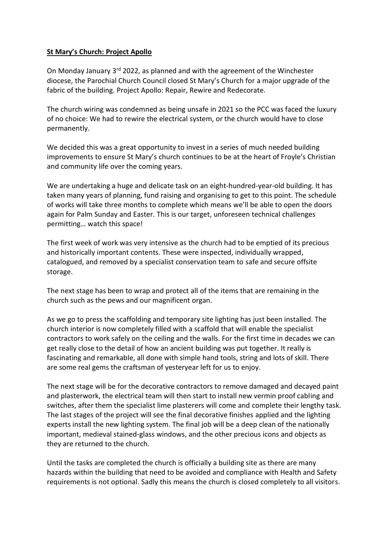## **St Mary's Church: Project Apollo**

On Monday January  $3^{rd}$  2022, as planned and with the agreement of the Winchester diocese, the Parochial Church Council closed St Mary's Church for a major upgrade of the fabric of the building. Project Apollo: Repair, Rewire and Redecorate.

The church wiring was condemned as being unsafe in 2021 so the PCC was faced the luxury of no choice: We had to rewire the electrical system, or the church would have to close permanently.

We decided this was a great opportunity to invest in a series of much needed building improvements to ensure St Mary's church continues to be at the heart of Froyle's Christian and community life over the coming years.

We are undertaking a huge and delicate task on an eight-hundred-year-old building. It has taken many years of planning, fund raising and organising to get to this point. The schedule of works will take three months to complete which means we'll be able to open the doors again for Palm Sunday and Easter. This is our target, unforeseen technical challenges permitting… watch this space!

The first week of work was very intensive as the church had to be emptied of its precious and historically important contents. These were inspected, individually wrapped, catalogued, and removed by a specialist conservation team to safe and secure offsite storage.

The next stage has been to wrap and protect all of the items that are remaining in the church such as the pews and our magnificent organ.

As we go to press the scaffolding and temporary site lighting has just been installed. The church interior is now completely filled with a scaffold that will enable the specialist contractors to work safely on the ceiling and the walls. For the first time in decades we can get really close to the detail of how an ancient building was put together. It really is fascinating and remarkable, all done with simple hand tools, string and lots of skill. There are some real gems the craftsman of yesteryear left for us to enjoy.

The next stage will be for the decorative contractors to remove damaged and decayed paint and plasterwork, the electrical team will then start to install new vermin proof cabling and switches, after them the specialist lime plasterers will come and complete their lengthy task. The last stages of the project will see the final decorative finishes applied and the lighting experts install the new lighting system. The final job will be a deep clean of the nationally important, medieval stained-glass windows, and the other precious icons and objects as they are returned to the church.

Until the tasks are completed the church is officially a building site as there are many hazards within the building that need to be avoided and compliance with Health and Safety requirements is not optional. Sadly this means the church is closed completely to all visitors.